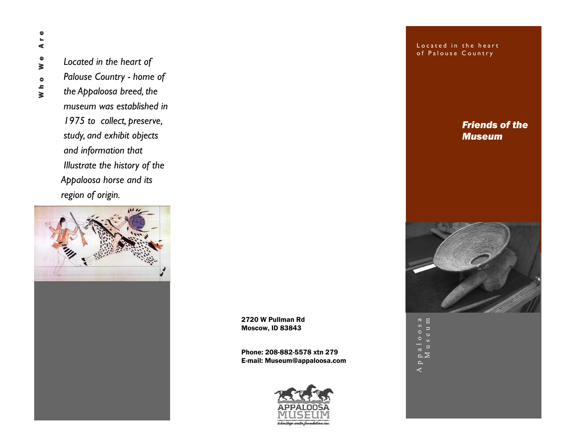Are Who We Are  $\pmb{\Phi}$ ₹  $\bullet$  $\frac{1}{2}$ 

*Located in the heart of Palouse Country - home of the Appaloosa breed, the museum was established in 1975 to collect, preserve, study, and exhibit objects and information that Illustrate the history of the Appaloosa horse and its region of origin.* 



2720 W Pullman Rd Moscow, ID 83843

Phone: 208-882-5578 xtn 279 E-mail: Museum@appaloosa.com



Located in the heart of Palouse Country

> *Friends of the Museum*



A p p a l o o s a Appaloosa<br>Museum